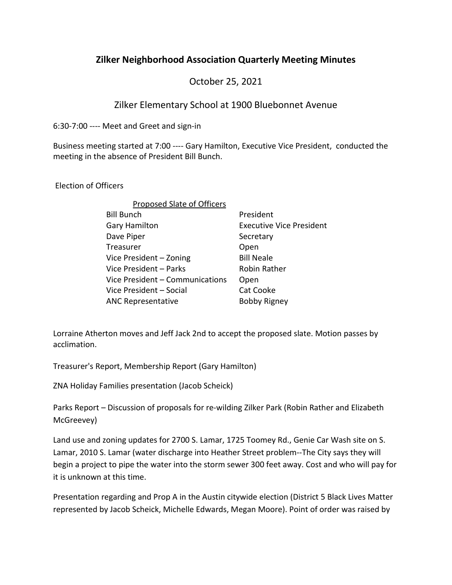## **Zilker Neighborhood Association Quarterly Meeting Minutes**

October 25, 2021

## Zilker Elementary School at 1900 Bluebonnet Avenue

6:30-7:00 ---- Meet and Greet and sign-in

Business meeting started at 7:00 ---- Gary Hamilton, Executive Vice President, conducted the meeting in the absence of President Bill Bunch.

Election of Officers

| <b>Proposed Slate of Officers</b> |                                 |
|-----------------------------------|---------------------------------|
| <b>Bill Bunch</b>                 | President                       |
| <b>Gary Hamilton</b>              | <b>Executive Vice President</b> |
| Dave Piper                        | Secretary                       |
| Treasurer                         | Open                            |
| Vice President - Zoning           | <b>Bill Neale</b>               |
| Vice President - Parks            | Robin Rather                    |
| Vice President - Communications   | Open                            |
| Vice President - Social           | Cat Cooke                       |
| <b>ANC Representative</b>         | <b>Bobby Rigney</b>             |

Lorraine Atherton moves and Jeff Jack 2nd to accept the proposed slate. Motion passes by acclimation.

Treasurer's Report, Membership Report (Gary Hamilton)

ZNA Holiday Families presentation (Jacob Scheick)

Parks Report – Discussion of proposals for re-wilding Zilker Park (Robin Rather and Elizabeth McGreevey)

Land use and zoning updates for 2700 S. Lamar, 1725 Toomey Rd., Genie Car Wash site on S. Lamar, 2010 S. Lamar (water discharge into Heather Street problem--The City says they will begin a project to pipe the water into the storm sewer 300 feet away. Cost and who will pay for it is unknown at this time.

Presentation regarding and Prop A in the Austin citywide election (District 5 Black Lives Matter represented by Jacob Scheick, Michelle Edwards, Megan Moore). Point of order was raised by